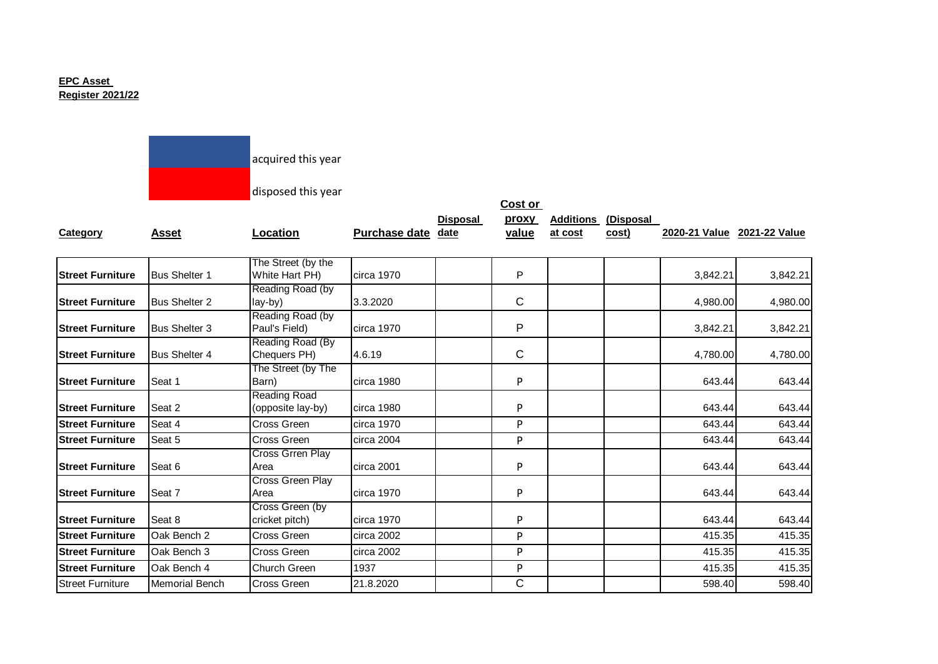## **EPC Asset Register 2021/22**

 $\mathcal{L}(\mathcal{L}^{\mathcal{L}}_{\mathcal{L}})$  and the set of the set of the set of the set of the set of the set of the set of the set of the set of the set of the set of the set of the set of the set of the set of the set of the set of

|                         |                       | acquired this year                       |                    |                 |                |         |                                     |                             |          |
|-------------------------|-----------------------|------------------------------------------|--------------------|-----------------|----------------|---------|-------------------------------------|-----------------------------|----------|
|                         |                       | disposed this year                       |                    |                 | Cost or        |         |                                     |                             |          |
| Category                | <b>Asset</b>          | Location                                 | Purchase date date | <b>Disposal</b> | proxy<br>value | at cost | <b>Additions (Disposal</b><br>cost) | 2020-21 Value 2021-22 Value |          |
| <b>Street Furniture</b> | <b>Bus Shelter 1</b>  | The Street (by the<br>White Hart PH)     | circa 1970         |                 | P              |         |                                     | 3,842.21                    | 3,842.21 |
| <b>Street Furniture</b> | <b>Bus Shelter 2</b>  | Reading Road (by<br>lay-by)              | 3.3.2020           |                 | C              |         |                                     | 4,980.00                    | 4,980.00 |
| <b>Street Furniture</b> | <b>Bus Shelter 3</b>  | Reading Road (by<br>Paul's Field)        | circa 1970         |                 | P              |         |                                     | 3,842.21                    | 3,842.21 |
| <b>Street Furniture</b> | <b>Bus Shelter 4</b>  | Reading Road (By<br>Chequers PH)         | 4.6.19             |                 | C              |         |                                     | 4,780.00                    | 4,780.00 |
| <b>Street Furniture</b> | Seat 1                | The Street (by The<br>Barn)              | circa 1980         |                 | P              |         |                                     | 643.44                      | 643.44   |
| <b>Street Furniture</b> | Seat 2                | <b>Reading Road</b><br>(opposite lay-by) | circa 1980         |                 | P              |         |                                     | 643.44                      | 643.44   |
| <b>Street Furniture</b> | Seat 4                | Cross Green                              | circa 1970         |                 | P              |         |                                     | 643.44                      | 643.44   |
| <b>Street Furniture</b> | Seat 5                | Cross Green                              | circa 2004         |                 | P              |         |                                     | 643.44                      | 643.44   |
| <b>Street Furniture</b> | Seat 6                | <b>Cross Grren Play</b><br>Area          | circa 2001         |                 | P              |         |                                     | 643.44                      | 643.44   |
| <b>Street Furniture</b> | Seat 7                | Cross Green Play<br>Area                 | circa 1970         |                 | P              |         |                                     | 643.44                      | 643.44   |
| <b>Street Furniture</b> | Seat 8                | Cross Green (by<br>cricket pitch)        | circa 1970         |                 | ${\sf P}$      |         |                                     | 643.44                      | 643.44   |
| <b>Street Furniture</b> | Oak Bench 2           | Cross Green                              | circa 2002         |                 | P              |         |                                     | 415.35                      | 415.35   |
| <b>Street Furniture</b> | Oak Bench 3           | Cross Green                              | circa 2002         |                 | P              |         |                                     | 415.35                      | 415.35   |
| <b>Street Furniture</b> | Oak Bench 4           | Church Green                             | 1937               |                 | P              |         |                                     | 415.35                      | 415.35   |
| <b>Street Furniture</b> | <b>Memorial Bench</b> | Cross Green                              | 21.8.2020          |                 | $\overline{C}$ |         |                                     | 598.40                      | 598.40   |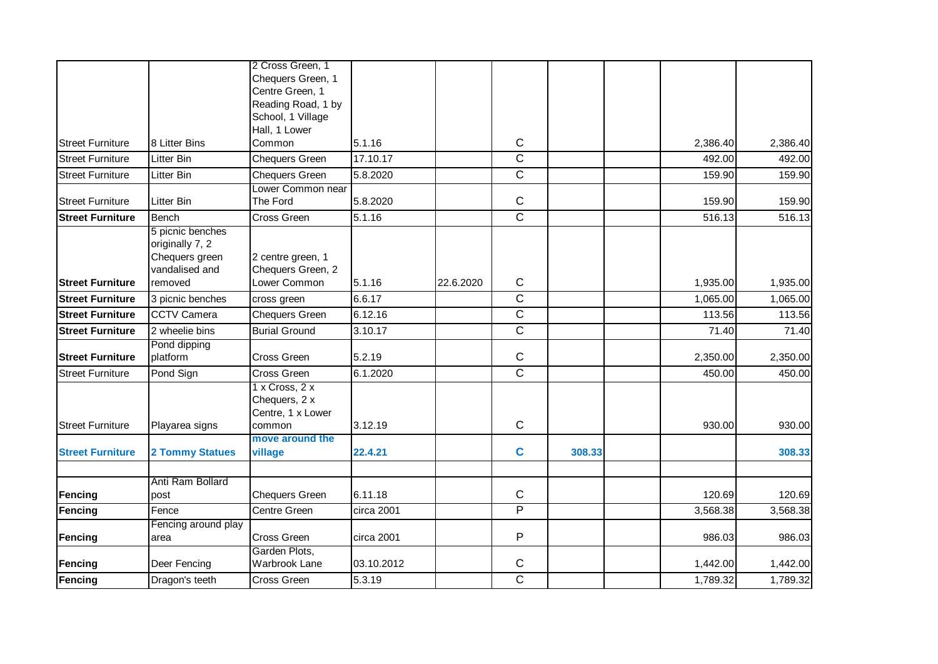|                         |                        | 2 Cross Green, 1           |            |           |                |        |          |          |
|-------------------------|------------------------|----------------------------|------------|-----------|----------------|--------|----------|----------|
|                         |                        | Chequers Green, 1          |            |           |                |        |          |          |
|                         |                        | Centre Green, 1            |            |           |                |        |          |          |
|                         |                        | Reading Road, 1 by         |            |           |                |        |          |          |
|                         |                        | School, 1 Village          |            |           |                |        |          |          |
|                         |                        | Hall, 1 Lower              |            |           |                |        |          |          |
| <b>Street Furniture</b> | 8 Litter Bins          | Common                     | 5.1.16     |           | $\mathsf C$    |        | 2,386.40 | 2,386.40 |
| <b>Street Furniture</b> | <b>Litter Bin</b>      | <b>Chequers Green</b>      | 17.10.17   |           | $\overline{C}$ |        | 492.00   | 492.00   |
| <b>Street Furniture</b> | Litter Bin             | <b>Chequers Green</b>      | 5.8.2020   |           | $\overline{C}$ |        | 159.90   | 159.90   |
|                         |                        | Lower Common near          |            |           |                |        |          |          |
| <b>Street Furniture</b> | <b>Litter Bin</b>      | The Ford                   | 5.8.2020   |           | $\mathbf C$    |        | 159.90   | 159.90   |
| <b>Street Furniture</b> | Bench                  | Cross Green                | 5.1.16     |           | $\overline{C}$ |        | 516.13   | 516.13   |
|                         | 5 picnic benches       |                            |            |           |                |        |          |          |
|                         | originally 7, 2        |                            |            |           |                |        |          |          |
|                         | Chequers green         | 2 centre green, 1          |            |           |                |        |          |          |
|                         | vandalised and         | Chequers Green, 2          |            |           |                |        |          |          |
| <b>Street Furniture</b> | removed                | Lower Common               | 5.1.16     | 22.6.2020 | $\mathbf C$    |        | 1,935.00 | 1,935.00 |
| <b>Street Furniture</b> | 3 picnic benches       | cross green                | 6.6.17     |           | $\overline{C}$ |        | 1,065.00 | 1,065.00 |
| <b>Street Furniture</b> | <b>CCTV Camera</b>     | <b>Chequers Green</b>      | 6.12.16    |           | $\overline{C}$ |        | 113.56   | 113.56   |
| <b>Street Furniture</b> | 2 wheelie bins         | <b>Burial Ground</b>       | 3.10.17    |           | $\overline{C}$ |        | 71.40    | 71.40    |
|                         | Pond dipping           |                            |            |           |                |        |          |          |
| <b>Street Furniture</b> | platform               | Cross Green                | 5.2.19     |           | $\mathbf C$    |        | 2,350.00 | 2,350.00 |
| <b>Street Furniture</b> | Pond Sign              | Cross Green                | 6.1.2020   |           | $\overline{C}$ |        | 450.00   | 450.00   |
|                         |                        | $1 \times Cross, 2 \times$ |            |           |                |        |          |          |
|                         |                        | Chequers, 2 x              |            |           |                |        |          |          |
|                         |                        | Centre, 1 x Lower          |            |           |                |        |          |          |
| <b>Street Furniture</b> | Playarea signs         | common                     | 3.12.19    |           | $\mathbf C$    |        | 930.00   | 930.00   |
|                         |                        | move around the            |            |           | $\mathbf c$    |        |          |          |
| <b>Street Furniture</b> | <b>2 Tommy Statues</b> | village                    | 22.4.21    |           |                | 308.33 |          | 308.33   |
|                         | Anti Ram Bollard       |                            |            |           |                |        |          |          |
| Fencing                 | post                   | <b>Chequers Green</b>      | 6.11.18    |           | $\mathbf C$    |        | 120.69   | 120.69   |
| Fencing                 | Fence                  | Centre Green               | circa 2001 |           | $\overline{P}$ |        | 3,568.38 | 3,568.38 |
|                         | Fencing around play    |                            |            |           |                |        |          |          |
| Fencing                 | area                   | Cross Green                | circa 2001 |           | P              |        | 986.03   | 986.03   |
|                         |                        | Garden Plots,              |            |           |                |        |          |          |
| Fencing                 | Deer Fencing           | Warbrook Lane              | 03.10.2012 |           | $\mathsf C$    |        | 1,442.00 | 1,442.00 |
| Fencing                 | Dragon's teeth         | Cross Green                | 5.3.19     |           | $\overline{C}$ |        | 1,789.32 | 1,789.32 |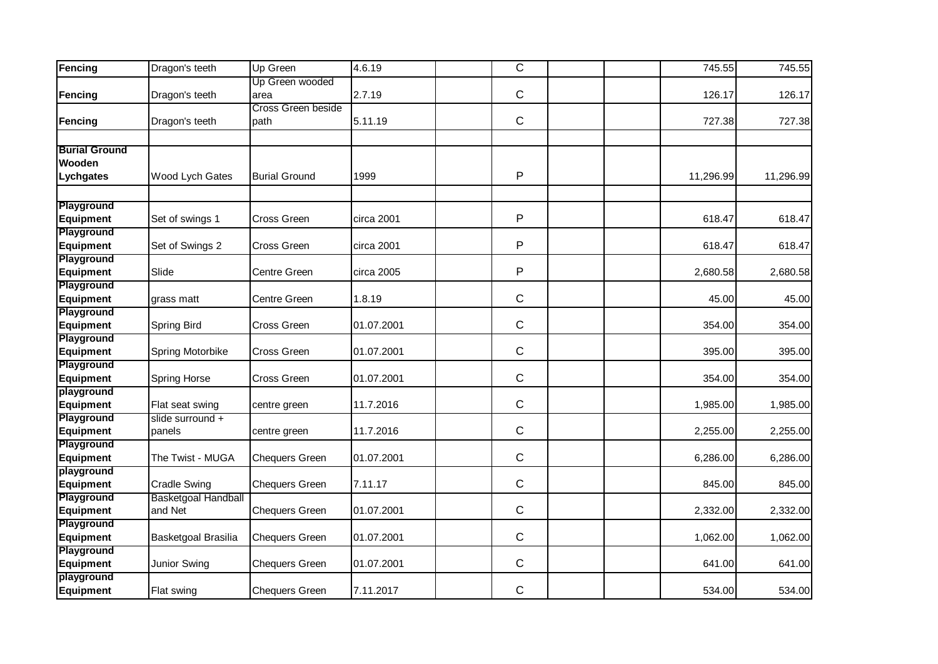| Fencing                        | Dragon's teeth      | Up Green                   | 4.6.19     | $\overline{C}$ |  | 745.55    | 745.55    |
|--------------------------------|---------------------|----------------------------|------------|----------------|--|-----------|-----------|
| Fencing                        | Dragon's teeth      | Up Green wooded<br>area    | 2.7.19     | $\mathsf{C}$   |  | 126.17    | 126.17    |
| Fencing                        | Dragon's teeth      | Cross Green beside<br>path | 5.11.19    | $\mathsf{C}$   |  | 727.38    | 727.38    |
|                                |                     |                            |            |                |  |           |           |
| <b>Burial Ground</b>           |                     |                            |            |                |  |           |           |
| Wooden<br>Lychgates            | Wood Lych Gates     | <b>Burial Ground</b>       | 1999       | P              |  | 11,296.99 | 11,296.99 |
|                                |                     |                            |            |                |  |           |           |
| Playground                     |                     |                            |            |                |  |           |           |
| <b>Equipment</b>               | Set of swings 1     | Cross Green                | circa 2001 | P              |  | 618.47    | 618.47    |
| Playground                     |                     |                            |            |                |  |           |           |
| <b>Equipment</b>               | Set of Swings 2     | Cross Green                | circa 2001 | P              |  | 618.47    | 618.47    |
| Playground                     |                     |                            |            |                |  |           |           |
| <b>Equipment</b>               | Slide               | Centre Green               | circa 2005 | P              |  | 2,680.58  | 2,680.58  |
| Playground                     |                     |                            |            |                |  |           |           |
| <b>Equipment</b>               | grass matt          | Centre Green               | 1.8.19     | $\mathsf{C}$   |  | 45.00     | 45.00     |
| Playground                     |                     |                            |            |                |  |           |           |
| <b>Equipment</b><br>Playground | Spring Bird         | Cross Green                | 01.07.2001 | $\mathsf C$    |  | 354.00    | 354.00    |
| <b>Equipment</b>               | Spring Motorbike    | Cross Green                | 01.07.2001 | $\mathsf{C}$   |  | 395.00    | 395.00    |
| Playground                     |                     |                            |            |                |  |           |           |
| <b>Equipment</b>               | <b>Spring Horse</b> | Cross Green                | 01.07.2001 | $\mathsf{C}$   |  | 354.00    | 354.00    |
| playground                     |                     |                            |            |                |  |           |           |
| <b>Equipment</b>               | Flat seat swing     | centre green               | 11.7.2016  | $\mathsf{C}$   |  | 1,985.00  | 1,985.00  |
| Playground                     | slide surround +    |                            |            |                |  |           |           |
| <b>Equipment</b>               | panels              | centre green               | 11.7.2016  | $\mathsf{C}$   |  | 2,255.00  | 2,255.00  |
| Playground                     |                     |                            |            |                |  |           |           |
| <b>Equipment</b>               | The Twist - MUGA    | <b>Chequers Green</b>      | 01.07.2001 | $\mathsf{C}$   |  | 6,286.00  | 6,286.00  |
| playground<br><b>Equipment</b> | <b>Cradle Swing</b> | <b>Chequers Green</b>      | 7.11.17    | $\mathsf C$    |  | 845.00    | 845.00    |
| Playground                     | Basketgoal Handball |                            |            |                |  |           |           |
| <b>Equipment</b>               | and Net             | <b>Chequers Green</b>      | 01.07.2001 | $\mathsf{C}$   |  | 2,332.00  | 2,332.00  |
| Playground                     |                     |                            |            |                |  |           |           |
| <b>Equipment</b>               | Basketgoal Brasilia | <b>Chequers Green</b>      | 01.07.2001 | $\mathsf C$    |  | 1,062.00  | 1,062.00  |
| Playground                     |                     |                            |            |                |  |           |           |
| <b>Equipment</b>               | Junior Swing        | <b>Chequers Green</b>      | 01.07.2001 | $\mathsf{C}$   |  | 641.00    | 641.00    |
| playground                     |                     |                            |            |                |  |           |           |
| Equipment                      | Flat swing          | <b>Chequers Green</b>      | 7.11.2017  | $\mathsf C$    |  | 534.00    | 534.00    |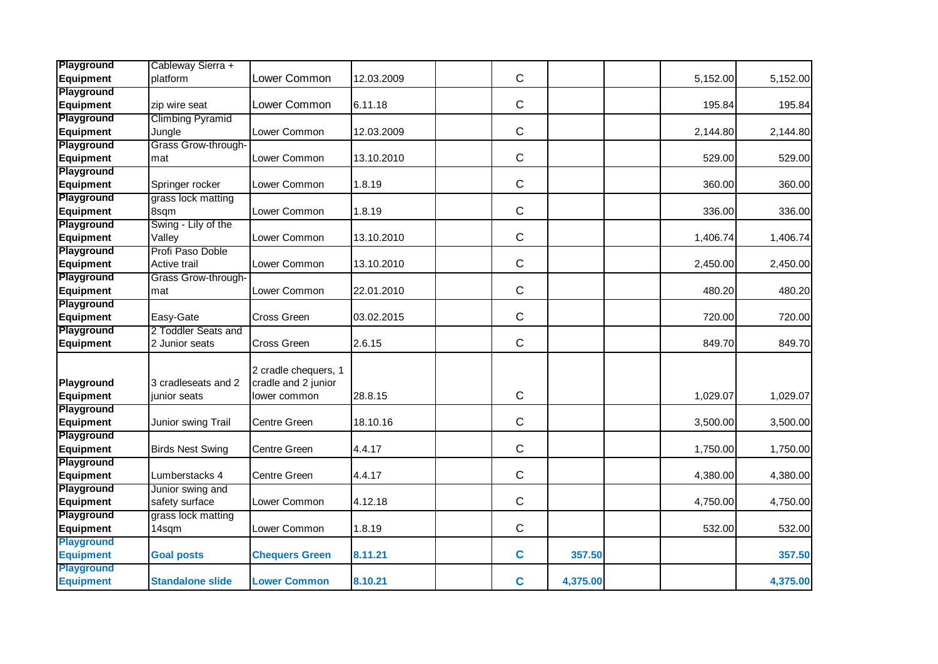| Playground<br>Equipment               | Cableway Sierra +<br>platform       | Lower Common                                                | 12.03.2009 | $\mathsf{C}$ |          | 5,152.00 | 5,152.00 |
|---------------------------------------|-------------------------------------|-------------------------------------------------------------|------------|--------------|----------|----------|----------|
| Playground                            |                                     |                                                             |            |              |          |          |          |
| <b>Equipment</b>                      | zip wire seat                       | Lower Common                                                | 6.11.18    | $\mathsf{C}$ |          | 195.84   | 195.84   |
| Playground                            | <b>Climbing Pyramid</b>             |                                                             |            |              |          |          |          |
| <b>Equipment</b>                      | Jungle                              | Lower Common                                                | 12.03.2009 | $\mathsf{C}$ |          | 2,144.80 | 2,144.80 |
| Playground                            | Grass Grow-through-                 |                                                             |            |              |          |          |          |
| <b>Equipment</b>                      | mat                                 | Lower Common                                                | 13.10.2010 | $\mathsf{C}$ |          | 529.00   | 529.00   |
| Playground                            |                                     |                                                             |            |              |          |          |          |
| <b>Equipment</b>                      | Springer rocker                     | Lower Common                                                | 1.8.19     | $\mathsf{C}$ |          | 360.00   | 360.00   |
| Playground                            | grass lock matting                  |                                                             |            |              |          |          |          |
| <b>Equipment</b>                      | 8sqm                                | Lower Common                                                | 1.8.19     | $\mathsf C$  |          | 336.00   | 336.00   |
| Playground                            | Swing - Lily of the                 |                                                             |            |              |          |          |          |
| <b>Equipment</b>                      | Valley                              | Lower Common                                                | 13.10.2010 | $\mathsf{C}$ |          | 1,406.74 | 1,406.74 |
| Playground                            | Profi Paso Doble                    |                                                             |            |              |          |          |          |
| <b>Equipment</b>                      | Active trail                        | Lower Common                                                | 13.10.2010 | $\mathsf{C}$ |          | 2,450.00 | 2,450.00 |
| Playground                            | Grass Grow-through-                 |                                                             |            |              |          |          |          |
| Equipment                             | mat                                 | Lower Common                                                | 22.01.2010 | $\mathsf C$  |          | 480.20   | 480.20   |
| Playground                            |                                     |                                                             |            |              |          |          |          |
| <b>Equipment</b>                      | Easy-Gate                           | <b>Cross Green</b>                                          | 03.02.2015 | $\mathsf C$  |          | 720.00   | 720.00   |
| Playground                            | 2 Toddler Seats and                 |                                                             |            |              |          |          |          |
| <b>Equipment</b>                      | 2 Junior seats                      | <b>Cross Green</b>                                          | 2.6.15     | $\mathsf{C}$ |          | 849.70   | 849.70   |
| Playground<br><b>Equipment</b>        | 3 cradleseats and 2<br>junior seats | 2 cradle chequers, 1<br>cradle and 2 junior<br>lower common | 28.8.15    | $\mathsf C$  |          | 1,029.07 | 1,029.07 |
| Playground                            |                                     |                                                             |            |              |          |          |          |
| <b>Equipment</b>                      | Junior swing Trail                  | <b>Centre Green</b>                                         | 18.10.16   | $\mathsf{C}$ |          | 3,500.00 | 3,500.00 |
| Playground                            | <b>Birds Nest Swing</b>             | <b>Centre Green</b>                                         | 4.4.17     | $\mathsf{C}$ |          |          |          |
| <b>Equipment</b><br><b>Playground</b> |                                     |                                                             |            |              |          | 1,750.00 | 1,750.00 |
| <b>Equipment</b>                      | Lumberstacks 4                      | Centre Green                                                | 4.4.17     | $\mathsf C$  |          | 4,380.00 | 4,380.00 |
| Playground                            | Junior swing and                    |                                                             |            |              |          |          |          |
| <b>Equipment</b>                      | safety surface                      | Lower Common                                                | 4.12.18    | $\mathsf C$  |          | 4,750.00 | 4,750.00 |
| Playground                            | grass lock matting                  |                                                             |            |              |          |          |          |
| <b>Equipment</b>                      | 14sqm                               | Lower Common                                                | 1.8.19     | $\mathsf{C}$ |          | 532.00   | 532.00   |
| <b>Playground</b>                     |                                     |                                                             |            |              |          |          |          |
| <b>Equipment</b>                      | <b>Goal posts</b>                   | <b>Chequers Green</b>                                       | 8.11.21    | $\mathbf c$  | 357.50   |          | 357.50   |
| <b>Playground</b>                     |                                     |                                                             |            |              |          |          |          |
| <b>Equipment</b>                      | <b>Standalone slide</b>             | <b>Lower Common</b>                                         | 8.10.21    | $\mathbf c$  | 4,375.00 |          | 4,375.00 |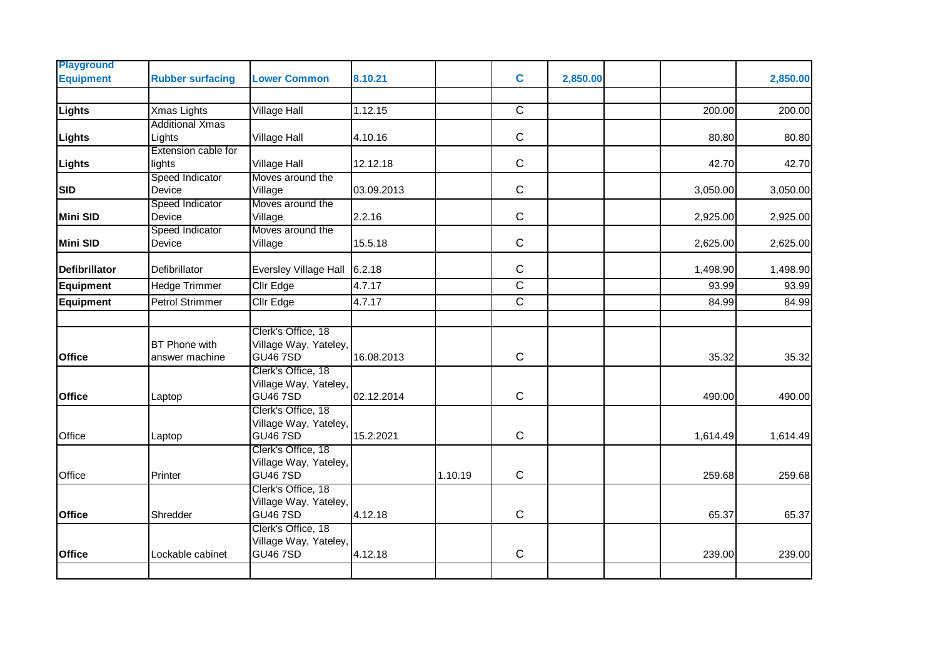| <b>Playground</b>                                                                                                                                                                                                                                                                                                                                                                                                                                                                                                         |                         |                                             |            |           |                         |          |                                                                                                                                                                                                                                                                                        |        |
|---------------------------------------------------------------------------------------------------------------------------------------------------------------------------------------------------------------------------------------------------------------------------------------------------------------------------------------------------------------------------------------------------------------------------------------------------------------------------------------------------------------------------|-------------------------|---------------------------------------------|------------|-----------|-------------------------|----------|----------------------------------------------------------------------------------------------------------------------------------------------------------------------------------------------------------------------------------------------------------------------------------------|--------|
| <b>Equipment</b>                                                                                                                                                                                                                                                                                                                                                                                                                                                                                                          | <b>Rubber surfacing</b> | <b>Lower Common</b>                         | 8.10.21    |           | $\mathbf c$             | 2,850.00 |                                                                                                                                                                                                                                                                                        |        |
|                                                                                                                                                                                                                                                                                                                                                                                                                                                                                                                           |                         |                                             |            |           |                         |          | 2,850.00<br>200.00<br>200.00<br>80.80<br>80.80<br>42.70<br>42.70<br>3,050.00<br>3,050.00<br>2,925.00<br>2,925.00<br>2,625.00<br>2,625.00<br>1,498.90<br>1,498.90<br>93.99<br>93.99<br>84.99<br>84.99<br>35.32<br>35.32<br>490.00<br>490.00<br>1,614.49<br>1,614.49<br>259.68<br>259.68 |        |
|                                                                                                                                                                                                                                                                                                                                                                                                                                                                                                                           | Xmas Lights             | Village Hall                                | 1.12.15    |           | $\overline{C}$          |          |                                                                                                                                                                                                                                                                                        |        |
|                                                                                                                                                                                                                                                                                                                                                                                                                                                                                                                           |                         |                                             |            |           |                         |          |                                                                                                                                                                                                                                                                                        |        |
|                                                                                                                                                                                                                                                                                                                                                                                                                                                                                                                           |                         | Village Hall                                | 4.10.16    |           | $\mathsf C$             |          |                                                                                                                                                                                                                                                                                        |        |
|                                                                                                                                                                                                                                                                                                                                                                                                                                                                                                                           |                         | Village Hall                                | 12.12.18   |           | $\mathsf C$             |          |                                                                                                                                                                                                                                                                                        |        |
|                                                                                                                                                                                                                                                                                                                                                                                                                                                                                                                           |                         | Moves around the                            |            |           |                         |          |                                                                                                                                                                                                                                                                                        |        |
|                                                                                                                                                                                                                                                                                                                                                                                                                                                                                                                           |                         | Village                                     | 03.09.2013 |           | $\mathsf C$             |          |                                                                                                                                                                                                                                                                                        |        |
|                                                                                                                                                                                                                                                                                                                                                                                                                                                                                                                           |                         | Moves around the                            |            |           |                         |          |                                                                                                                                                                                                                                                                                        |        |
|                                                                                                                                                                                                                                                                                                                                                                                                                                                                                                                           | Device                  | Village                                     | 2.2.16     |           | $\mathsf C$             |          |                                                                                                                                                                                                                                                                                        |        |
|                                                                                                                                                                                                                                                                                                                                                                                                                                                                                                                           | Speed Indicator         | Moves around the                            |            |           |                         |          |                                                                                                                                                                                                                                                                                        |        |
|                                                                                                                                                                                                                                                                                                                                                                                                                                                                                                                           | Device                  | Village                                     | 15.5.18    |           | $\mathsf C$             |          |                                                                                                                                                                                                                                                                                        |        |
|                                                                                                                                                                                                                                                                                                                                                                                                                                                                                                                           |                         | Eversley Village Hall 6.2.18                |            |           | $\mathsf C$             |          |                                                                                                                                                                                                                                                                                        |        |
|                                                                                                                                                                                                                                                                                                                                                                                                                                                                                                                           |                         |                                             |            |           |                         |          |                                                                                                                                                                                                                                                                                        |        |
|                                                                                                                                                                                                                                                                                                                                                                                                                                                                                                                           |                         | Cllr Edge                                   | 4.7.17     |           | $\overline{\mathsf{C}}$ |          |                                                                                                                                                                                                                                                                                        |        |
|                                                                                                                                                                                                                                                                                                                                                                                                                                                                                                                           |                         | Cllr Edge                                   | 4.7.17     |           | $\mathbf C$             |          |                                                                                                                                                                                                                                                                                        |        |
|                                                                                                                                                                                                                                                                                                                                                                                                                                                                                                                           |                         |                                             |            |           |                         |          |                                                                                                                                                                                                                                                                                        |        |
|                                                                                                                                                                                                                                                                                                                                                                                                                                                                                                                           |                         | Clerk's Office, 18                          |            |           |                         |          |                                                                                                                                                                                                                                                                                        |        |
|                                                                                                                                                                                                                                                                                                                                                                                                                                                                                                                           |                         | Village Way, Yateley,<br><b>GU46 7SD</b>    | 16.08.2013 |           | $\mathsf C$             |          |                                                                                                                                                                                                                                                                                        |        |
|                                                                                                                                                                                                                                                                                                                                                                                                                                                                                                                           |                         | Clerk's Office, 18                          |            |           |                         |          |                                                                                                                                                                                                                                                                                        |        |
|                                                                                                                                                                                                                                                                                                                                                                                                                                                                                                                           |                         | Village Way, Yateley,                       |            |           |                         |          |                                                                                                                                                                                                                                                                                        |        |
|                                                                                                                                                                                                                                                                                                                                                                                                                                                                                                                           |                         | <b>GU46 7SD</b>                             | 02.12.2014 |           | $\mathsf C$             |          |                                                                                                                                                                                                                                                                                        |        |
|                                                                                                                                                                                                                                                                                                                                                                                                                                                                                                                           |                         | Clerk's Office, 18                          |            |           |                         |          |                                                                                                                                                                                                                                                                                        |        |
|                                                                                                                                                                                                                                                                                                                                                                                                                                                                                                                           |                         | Village Way, Yateley,                       |            |           |                         |          |                                                                                                                                                                                                                                                                                        |        |
|                                                                                                                                                                                                                                                                                                                                                                                                                                                                                                                           |                         | <b>GU46 7SD</b>                             | 15.2.2021  |           | ${\bf C}$               |          |                                                                                                                                                                                                                                                                                        |        |
|                                                                                                                                                                                                                                                                                                                                                                                                                                                                                                                           |                         | Clerk's Office, 18<br>Village Way, Yateley, |            |           |                         |          |                                                                                                                                                                                                                                                                                        |        |
|                                                                                                                                                                                                                                                                                                                                                                                                                                                                                                                           |                         | <b>GU46 7SD</b>                             |            | 1.10.19   | $\mathsf C$             |          |                                                                                                                                                                                                                                                                                        |        |
|                                                                                                                                                                                                                                                                                                                                                                                                                                                                                                                           |                         | Clerk's Office, 18                          |            |           |                         |          |                                                                                                                                                                                                                                                                                        |        |
|                                                                                                                                                                                                                                                                                                                                                                                                                                                                                                                           |                         | Village Way, Yateley,                       |            |           |                         |          |                                                                                                                                                                                                                                                                                        |        |
| Lights<br><b>Additional Xmas</b><br>Lights<br>Lights<br>Extension cable for<br>Lights<br>lights<br>Speed Indicator<br><b>SID</b><br>Device<br>Speed Indicator<br><b>Mini SID</b><br><b>Mini SID</b><br><b>Defibrillator</b><br>Defibrillator<br>Hedge Trimmer<br><b>Equipment</b><br>Petrol Strimmer<br><b>Equipment</b><br><b>BT</b> Phone with<br><b>Office</b><br>answer machine<br><b>Office</b><br>Laptop<br>Office<br>Laptop<br>Office<br>Printer<br>Shredder<br><b>Office</b><br><b>Office</b><br>Lockable cabinet | <b>GU46 7SD</b>         | 4.12.18                                     |            | ${\bf C}$ |                         | 65.37    | 65.37                                                                                                                                                                                                                                                                                  |        |
|                                                                                                                                                                                                                                                                                                                                                                                                                                                                                                                           |                         | Clerk's Office, 18                          |            |           |                         |          |                                                                                                                                                                                                                                                                                        |        |
|                                                                                                                                                                                                                                                                                                                                                                                                                                                                                                                           |                         | Village Way, Yateley,                       |            |           |                         |          |                                                                                                                                                                                                                                                                                        |        |
|                                                                                                                                                                                                                                                                                                                                                                                                                                                                                                                           |                         | <b>GU46 7SD</b>                             | 4.12.18    |           | $\mathsf C$             |          | 239.00                                                                                                                                                                                                                                                                                 | 239.00 |